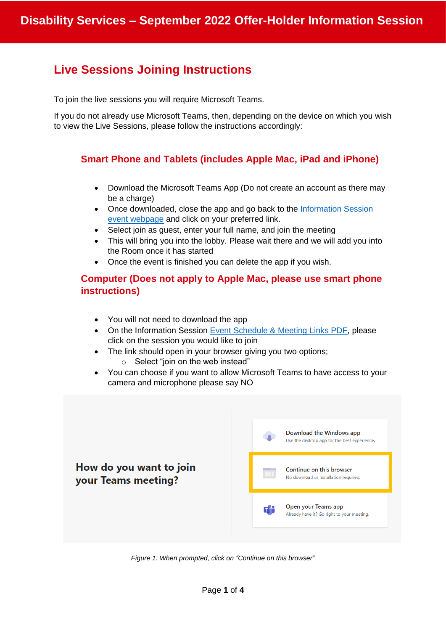# **Live Sessions Joining Instructions**

To join the live sessions you will require Microsoft Teams.

If you do not already use Microsoft Teams, then, depending on the device on which you wish to view the Live Sessions, please follow the instructions accordingly:

# **Smart Phone and Tablets (includes Apple Mac, iPad and iPhone)**

- Download the Microsoft Teams App (Do not create an account as there may be a charge)
- Once downloaded, close the app and go back to the [Information Session](https://www.qub.ac.uk/directorates/sgc/disability/information-session/) [event webpage](https://www.qub.ac.uk/directorates/sgc/disability/information-session/) and click on your preferred link.
- Select join as guest, enter your full name, and join the meeting
- This will bring you into the lobby. Please wait there and we will add you into the Room once it has started
- Once the event is finished you can delete the app if you wish.

# **Computer (Does not apply to Apple Mac, please use smart phone instructions)**

- You will not need to download the app
- On the Information Session [Event Schedule & Meeting Links PDF,](https://www.qub.ac.uk/directorates/sgc/disability/FileStore/Filetoupload,1064297,en.pdf) please click on the session you would like to join
- The link should open in your browser giving you two options;
	- $\circ$  Select "join on the web instead"
- You can choose if you want to allow Microsoft Teams to have access to your camera and microphone please say NO



*Figure 1: When prompted, click on "Continue on this browser"*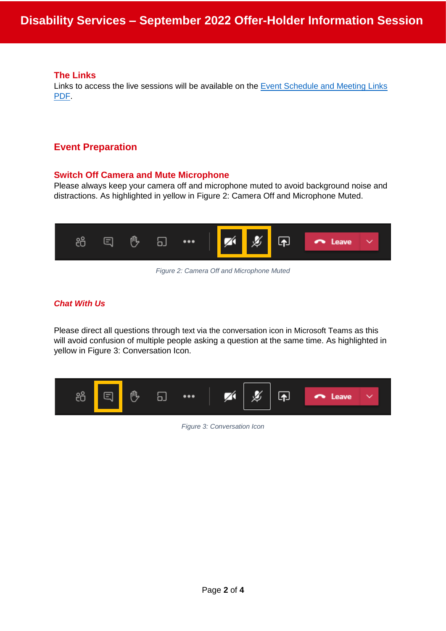### **The Links**

Links to access the live sessions will be available on the [Event Schedule and Meeting Links](https://www.qub.ac.uk/directorates/sgc/disability/FileStore/Filetoupload,1064297,en.pdf)  [PDF.](https://www.qub.ac.uk/directorates/sgc/disability/FileStore/Filetoupload,1064297,en.pdf)

# **Event Preparation**

### **Switch Off Camera and Mute Microphone**

Please always keep your camera off and microphone muted to avoid background noise and distractions. As highlighted in yellow in [Figure 2: Camera Off and Microphone Muted.](#page-1-0)



*Figure 2: Camera Off and Microphone Muted*

# <span id="page-1-0"></span>*Chat With Us*

Please direct all questions through text via the conversation icon in Microsoft Teams as this will avoid confusion of multiple people asking a question at the same time. As highlighted in yellow in Figure [3: Conversation Icon.](#page-1-1)

<span id="page-1-1"></span>

*Figure 3: Conversation Icon*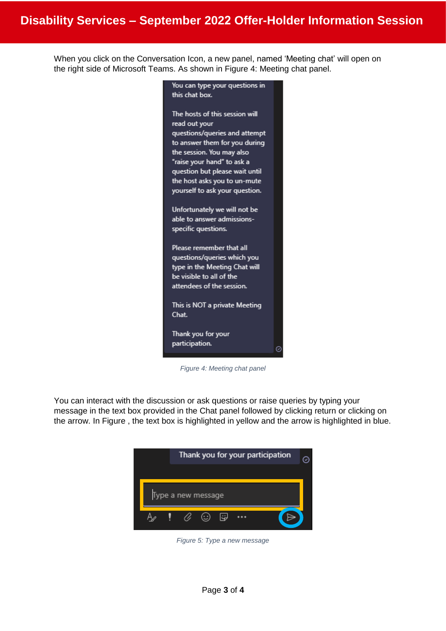When you click on the Conversation Icon, a new panel, named 'Meeting chat' will open on the right side of Microsoft Teams. As shown in [Figure 4: Meeting chat panel.](#page-2-0)



*Figure 4: Meeting chat panel*

<span id="page-2-0"></span>You can interact with the discussion or ask questions or raise queries by typing your message in the text box provided in the Chat panel followed by clicking return or clicking on the arrow. In [Figure ,](#page-2-1) the text box is highlighted in yellow and the arrow is highlighted in blue.

<span id="page-2-1"></span>

*Figure 5: Type a new message*